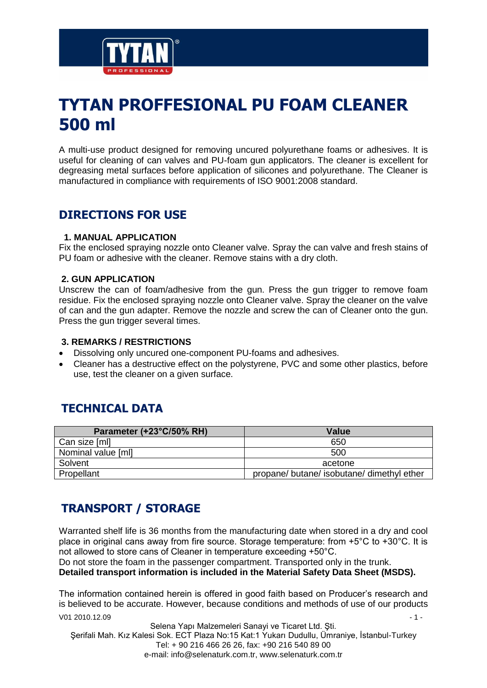

# **TYTAN PROFFESIONAL PU FOAM CLEANER 500 ml**

A multi-use product designed for removing uncured polyurethane foams or adhesives. It is useful for cleaning of can valves and PU-foam gun applicators. The cleaner is excellent for degreasing metal surfaces before application of silicones and polyurethane. The Cleaner is manufactured in compliance with requirements of ISO 9001:2008 standard.

## **DIRECTIONS FOR USE**

#### **1. MANUAL APPLICATION**

Fix the enclosed spraying nozzle onto Cleaner valve. Spray the can valve and fresh stains of PU foam or adhesive with the cleaner. Remove stains with a dry cloth.

#### **2. GUN APPLICATION**

Unscrew the can of foam/adhesive from the gun. Press the gun trigger to remove foam residue. Fix the enclosed spraying nozzle onto Cleaner valve. Spray the cleaner on the valve of can and the gun adapter. Remove the nozzle and screw the can of Cleaner onto the gun. Press the gun trigger several times.

#### **3. REMARKS / RESTRICTIONS**

- Dissolving only uncured one-component PU-foams and adhesives.
- Cleaner has a destructive effect on the polystyrene, PVC and some other plastics, before use, test the cleaner on a given surface.

## **TECHNICAL DATA**

| Parameter (+23°C/50% RH) | <b>Value</b>                               |
|--------------------------|--------------------------------------------|
| Can size [ml]            | 650                                        |
| Nominal value [ml]       | 500                                        |
| Solvent                  | acetone                                    |
| Propellant               | propane/ butane/ isobutane/ dimethyl ether |

## **TRANSPORT / STORAGE**

Warranted shelf life is 36 months from the manufacturing date when stored in a dry and cool place in original cans away from fire source. Storage temperature: from +5°C to +30°C. It is not allowed to store cans of Cleaner in temperature exceeding +50°C.

Do not store the foam in the passenger compartment. Transported only in the trunk. **Detailed transport information is included in the Material Safety Data Sheet (MSDS).**

 $V01 2010.12.09$  - 1 -The information contained herein is offered in good faith based on Producer's research and is believed to be accurate. However, because conditions and methods of use of our products

Selena Yapı Malzemeleri Sanayi ve Ticaret Ltd. Şti. Şerifali Mah. Kız Kalesi Sok. ECT Plaza No:15 Kat:1 Yukarı Dudullu, Ümraniye, İstanbul-Turkey Tel: + 90 216 466 26 26, fax: +90 216 540 89 00 e-mail: info@selenaturk.com.tr, www.selenaturk.com.tr